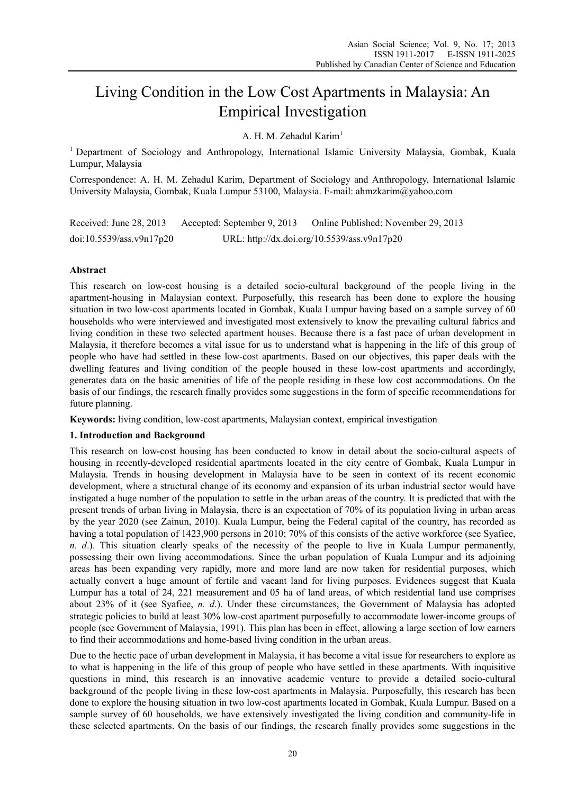# Living Condition in the Low Cost Apartments in Malaysia: An Empirical Investigation

A. H. M. Zehadul Karim<sup>1</sup>

1 Department of Sociology and Anthropology, International Islamic University Malaysia, Gombak, Kuala Lumpur, Malaysia

Correspondence: A. H. M. Zehadul Karim, Department of Sociology and Anthropology, International Islamic University Malaysia, Gombak, Kuala Lumpur 53100, Malaysia. E-mail: ahmzkarim@yahoo.com

Received: June 28, 2013 Accepted: September 9, 2013 Online Published: November 29, 2013 doi:10.5539/ass.v9n17p20 URL: http://dx.doi.org/10.5539/ass.v9n17p20

# **Abstract**

This research on low-cost housing is a detailed socio-cultural background of the people living in the apartment-housing in Malaysian context. Purposefully, this research has been done to explore the housing situation in two low-cost apartments located in Gombak, Kuala Lumpur having based on a sample survey of 60 households who were interviewed and investigated most extensively to know the prevailing cultural fabrics and living condition in these two selected apartment houses. Because there is a fast pace of urban development in Malaysia, it therefore becomes a vital issue for us to understand what is happening in the life of this group of people who have had settled in these low-cost apartments. Based on our objectives, this paper deals with the dwelling features and living condition of the people housed in these low-cost apartments and accordingly, generates data on the basic amenities of life of the people residing in these low cost accommodations. On the basis of our findings, the research finally provides some suggestions in the form of specific recommendations for future planning.

**Keywords:** living condition, low-cost apartments, Malaysian context, empirical investigation

# **1. Introduction and Background**

This research on low-cost housing has been conducted to know in detail about the socio-cultural aspects of housing in recently-developed residential apartments located in the city centre of Gombak, Kuala Lumpur in Malaysia. Trends in housing development in Malaysia have to be seen in context of its recent economic development, where a structural change of its economy and expansion of its urban industrial sector would have instigated a huge number of the population to settle in the urban areas of the country. It is predicted that with the present trends of urban living in Malaysia, there is an expectation of 70% of its population living in urban areas by the year 2020 (see Zainun, 2010). Kuala Lumpur, being the Federal capital of the country, has recorded as having a total population of 1423,900 persons in 2010; 70% of this consists of the active workforce (see Syafiee, *n. d*.). This situation clearly speaks of the necessity of the people to live in Kuala Lumpur permanently, possessing their own living accommodations. Since the urban population of Kuala Lumpur and its adjoining areas has been expanding very rapidly, more and more land are now taken for residential purposes, which actually convert a huge amount of fertile and vacant land for living purposes. Evidences suggest that Kuala Lumpur has a total of 24, 221 measurement and 05 ha of land areas, of which residential land use comprises about 23% of it (see Syafiee, *n. d*.). Under these circumstances, the Government of Malaysia has adopted strategic policies to build at least 30% low-cost apartment purposefully to accommodate lower-income groups of people (see Government of Malaysia, 1991). This plan has been in effect, allowing a large section of low earners to find their accommodations and home-based living condition in the urban areas.

Due to the hectic pace of urban development in Malaysia, it has become a vital issue for researchers to explore as to what is happening in the life of this group of people who have settled in these apartments. With inquisitive questions in mind, this research is an innovative academic venture to provide a detailed socio-cultural background of the people living in these low-cost apartments in Malaysia. Purposefully, this research has been done to explore the housing situation in two low-cost apartments located in Gombak, Kuala Lumpur. Based on a sample survey of 60 households, we have extensively investigated the living condition and community-life in these selected apartments. On the basis of our findings, the research finally provides some suggestions in the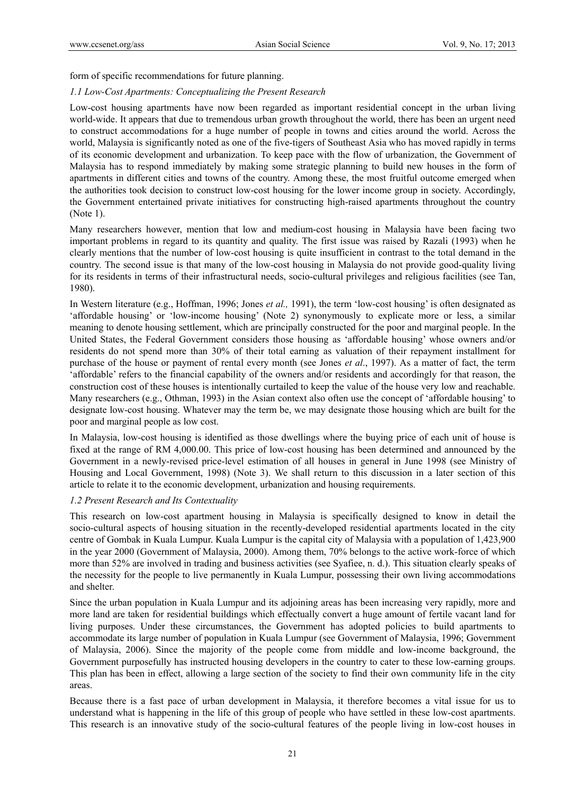form of specific recommendations for future planning.

#### *1.1 Low-Cost Apartments: Conceptualizing the Present Research*

Low-cost housing apartments have now been regarded as important residential concept in the urban living world-wide. It appears that due to tremendous urban growth throughout the world, there has been an urgent need to construct accommodations for a huge number of people in towns and cities around the world. Across the world, Malaysia is significantly noted as one of the five-tigers of Southeast Asia who has moved rapidly in terms of its economic development and urbanization. To keep pace with the flow of urbanization, the Government of Malaysia has to respond immediately by making some strategic planning to build new houses in the form of apartments in different cities and towns of the country. Among these, the most fruitful outcome emerged when the authorities took decision to construct low-cost housing for the lower income group in society. Accordingly, the Government entertained private initiatives for constructing high-raised apartments throughout the country (Note 1).

Many researchers however, mention that low and medium-cost housing in Malaysia have been facing two important problems in regard to its quantity and quality. The first issue was raised by Razali (1993) when he clearly mentions that the number of low-cost housing is quite insufficient in contrast to the total demand in the country. The second issue is that many of the low-cost housing in Malaysia do not provide good-quality living for its residents in terms of their infrastructural needs, socio-cultural privileges and religious facilities (see Tan, 1980).

In Western literature (e.g., Hoffman, 1996; Jones *et al.,* 1991), the term 'low-cost housing' is often designated as 'affordable housing' or 'low-income housing' (Note 2) synonymously to explicate more or less, a similar meaning to denote housing settlement, which are principally constructed for the poor and marginal people. In the United States, the Federal Government considers those housing as 'affordable housing' whose owners and/or residents do not spend more than 30% of their total earning as valuation of their repayment installment for purchase of the house or payment of rental every month (see Jones *et al*., 1997). As a matter of fact, the term 'affordable' refers to the financial capability of the owners and/or residents and accordingly for that reason, the construction cost of these houses is intentionally curtailed to keep the value of the house very low and reachable. Many researchers (e.g., Othman, 1993) in the Asian context also often use the concept of 'affordable housing' to designate low-cost housing. Whatever may the term be, we may designate those housing which are built for the poor and marginal people as low cost.

In Malaysia, low-cost housing is identified as those dwellings where the buying price of each unit of house is fixed at the range of RM 4,000.00. This price of low-cost housing has been determined and announced by the Government in a newly-revised price-level estimation of all houses in general in June 1998 (see Ministry of Housing and Local Government, 1998) (Note 3). We shall return to this discussion in a later section of this article to relate it to the economic development, urbanization and housing requirements.

#### *1.2 Present Research and Its Contextuality*

This research on low-cost apartment housing in Malaysia is specifically designed to know in detail the socio-cultural aspects of housing situation in the recently-developed residential apartments located in the city centre of Gombak in Kuala Lumpur. Kuala Lumpur is the capital city of Malaysia with a population of 1,423,900 in the year 2000 (Government of Malaysia, 2000). Among them, 70% belongs to the active work-force of which more than 52% are involved in trading and business activities (see Syafiee, n. d.). This situation clearly speaks of the necessity for the people to live permanently in Kuala Lumpur, possessing their own living accommodations and shelter.

Since the urban population in Kuala Lumpur and its adjoining areas has been increasing very rapidly, more and more land are taken for residential buildings which effectually convert a huge amount of fertile vacant land for living purposes. Under these circumstances, the Government has adopted policies to build apartments to accommodate its large number of population in Kuala Lumpur (see Government of Malaysia, 1996; Government of Malaysia, 2006). Since the majority of the people come from middle and low-income background, the Government purposefully has instructed housing developers in the country to cater to these low-earning groups. This plan has been in effect, allowing a large section of the society to find their own community life in the city areas.

Because there is a fast pace of urban development in Malaysia, it therefore becomes a vital issue for us to understand what is happening in the life of this group of people who have settled in these low-cost apartments. This research is an innovative study of the socio-cultural features of the people living in low-cost houses in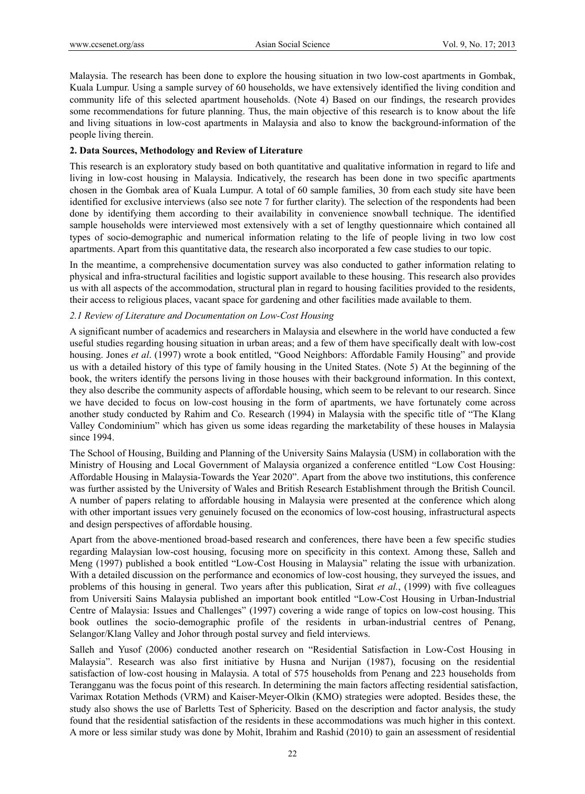Malaysia. The research has been done to explore the housing situation in two low-cost apartments in Gombak, Kuala Lumpur. Using a sample survey of 60 households, we have extensively identified the living condition and community life of this selected apartment households. (Note 4) Based on our findings, the research provides some recommendations for future planning. Thus, the main objective of this research is to know about the life and living situations in low-cost apartments in Malaysia and also to know the background-information of the people living therein.

# **2. Data Sources, Methodology and Review of Literature**

This research is an exploratory study based on both quantitative and qualitative information in regard to life and living in low-cost housing in Malaysia. Indicatively, the research has been done in two specific apartments chosen in the Gombak area of Kuala Lumpur. A total of 60 sample families, 30 from each study site have been identified for exclusive interviews (also see note 7 for further clarity). The selection of the respondents had been done by identifying them according to their availability in convenience snowball technique. The identified sample households were interviewed most extensively with a set of lengthy questionnaire which contained all types of socio-demographic and numerical information relating to the life of people living in two low cost apartments. Apart from this quantitative data, the research also incorporated a few case studies to our topic.

In the meantime, a comprehensive documentation survey was also conducted to gather information relating to physical and infra-structural facilities and logistic support available to these housing. This research also provides us with all aspects of the accommodation, structural plan in regard to housing facilities provided to the residents, their access to religious places, vacant space for gardening and other facilities made available to them.

# *2.1 Review of Literature and Documentation on Low-Cost Housing*

A significant number of academics and researchers in Malaysia and elsewhere in the world have conducted a few useful studies regarding housing situation in urban areas; and a few of them have specifically dealt with low-cost housing. Jones *et al*. (1997) wrote a book entitled, "Good Neighbors: Affordable Family Housing" and provide us with a detailed history of this type of family housing in the United States. (Note 5) At the beginning of the book, the writers identify the persons living in those houses with their background information. In this context, they also describe the community aspects of affordable housing, which seem to be relevant to our research. Since we have decided to focus on low-cost housing in the form of apartments, we have fortunately come across another study conducted by Rahim and Co. Research (1994) in Malaysia with the specific title of "The Klang Valley Condominium" which has given us some ideas regarding the marketability of these houses in Malaysia since 1994.

The School of Housing, Building and Planning of the University Sains Malaysia (USM) in collaboration with the Ministry of Housing and Local Government of Malaysia organized a conference entitled "Low Cost Housing: Affordable Housing in Malaysia-Towards the Year 2020". Apart from the above two institutions, this conference was further assisted by the University of Wales and British Research Establishment through the British Council. A number of papers relating to affordable housing in Malaysia were presented at the conference which along with other important issues very genuinely focused on the economics of low-cost housing, infrastructural aspects and design perspectives of affordable housing.

Apart from the above-mentioned broad-based research and conferences, there have been a few specific studies regarding Malaysian low-cost housing, focusing more on specificity in this context. Among these, Salleh and Meng (1997) published a book entitled "Low-Cost Housing in Malaysia" relating the issue with urbanization. With a detailed discussion on the performance and economics of low-cost housing, they surveyed the issues, and problems of this housing in general. Two years after this publication, Sirat *et al.*, (1999) with five colleagues from Universiti Sains Malaysia published an important book entitled "Low-Cost Housing in Urban-Industrial Centre of Malaysia: Issues and Challenges" (1997) covering a wide range of topics on low-cost housing. This book outlines the socio-demographic profile of the residents in urban-industrial centres of Penang, Selangor/Klang Valley and Johor through postal survey and field interviews.

Salleh and Yusof (2006) conducted another research on "Residential Satisfaction in Low-Cost Housing in Malaysia". Research was also first initiative by Husna and Nurijan (1987), focusing on the residential satisfaction of low-cost housing in Malaysia. A total of 575 households from Penang and 223 households from Terangganu was the focus point of this research. In determining the main factors affecting residential satisfaction, Varimax Rotation Methods (VRM) and Kaiser-Meyer-Olkin (KMO) strategies were adopted. Besides these, the study also shows the use of Barletts Test of Sphericity. Based on the description and factor analysis, the study found that the residential satisfaction of the residents in these accommodations was much higher in this context. A more or less similar study was done by Mohit, Ibrahim and Rashid (2010) to gain an assessment of residential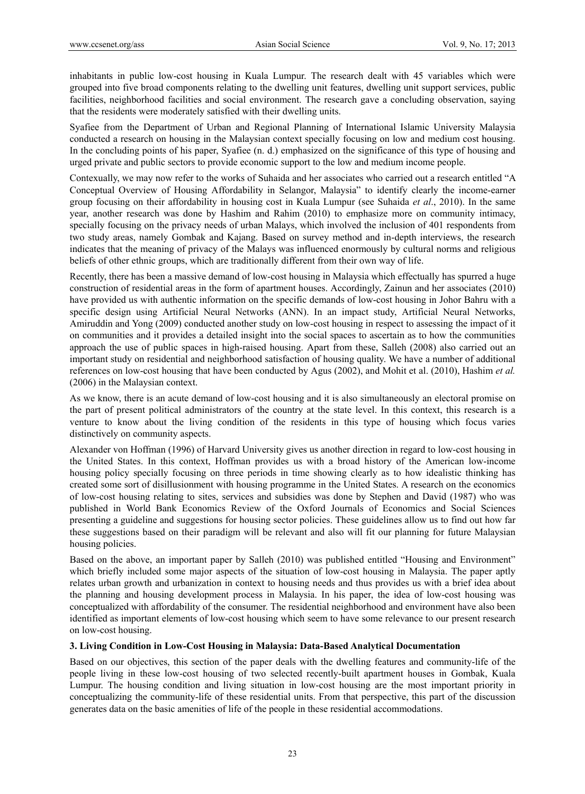inhabitants in public low-cost housing in Kuala Lumpur. The research dealt with 45 variables which were grouped into five broad components relating to the dwelling unit features, dwelling unit support services, public facilities, neighborhood facilities and social environment. The research gave a concluding observation, saying that the residents were moderately satisfied with their dwelling units.

Syafiee from the Department of Urban and Regional Planning of International Islamic University Malaysia conducted a research on housing in the Malaysian context specially focusing on low and medium cost housing. In the concluding points of his paper, Syafiee (n. d.) emphasized on the significance of this type of housing and urged private and public sectors to provide economic support to the low and medium income people.

Contexually, we may now refer to the works of Suhaida and her associates who carried out a research entitled "A Conceptual Overview of Housing Affordability in Selangor, Malaysia" to identify clearly the income-earner group focusing on their affordability in housing cost in Kuala Lumpur (see Suhaida *et al*., 2010). In the same year, another research was done by Hashim and Rahim (2010) to emphasize more on community intimacy, specially focusing on the privacy needs of urban Malays, which involved the inclusion of 401 respondents from two study areas, namely Gombak and Kajang. Based on survey method and in-depth interviews, the research indicates that the meaning of privacy of the Malays was influenced enormously by cultural norms and religious beliefs of other ethnic groups, which are traditionally different from their own way of life.

Recently, there has been a massive demand of low-cost housing in Malaysia which effectually has spurred a huge construction of residential areas in the form of apartment houses. Accordingly, Zainun and her associates (2010) have provided us with authentic information on the specific demands of low-cost housing in Johor Bahru with a specific design using Artificial Neural Networks (ANN). In an impact study, Artificial Neural Networks, Amiruddin and Yong (2009) conducted another study on low-cost housing in respect to assessing the impact of it on communities and it provides a detailed insight into the social spaces to ascertain as to how the communities approach the use of public spaces in high-raised housing. Apart from these, Salleh (2008) also carried out an important study on residential and neighborhood satisfaction of housing quality. We have a number of additional references on low-cost housing that have been conducted by Agus (2002), and Mohit et al. (2010), Hashim *et al.* (2006) in the Malaysian context.

As we know, there is an acute demand of low-cost housing and it is also simultaneously an electoral promise on the part of present political administrators of the country at the state level. In this context, this research is a venture to know about the living condition of the residents in this type of housing which focus varies distinctively on community aspects.

Alexander von Hoffman (1996) of Harvard University gives us another direction in regard to low-cost housing in the United States. In this context, Hoffman provides us with a broad history of the American low-income housing policy specially focusing on three periods in time showing clearly as to how idealistic thinking has created some sort of disillusionment with housing programme in the United States. A research on the economics of low-cost housing relating to sites, services and subsidies was done by Stephen and David (1987) who was published in World Bank Economics Review of the Oxford Journals of Economics and Social Sciences presenting a guideline and suggestions for housing sector policies. These guidelines allow us to find out how far these suggestions based on their paradigm will be relevant and also will fit our planning for future Malaysian housing policies.

Based on the above, an important paper by Salleh (2010) was published entitled "Housing and Environment" which briefly included some major aspects of the situation of low-cost housing in Malaysia. The paper aptly relates urban growth and urbanization in context to housing needs and thus provides us with a brief idea about the planning and housing development process in Malaysia. In his paper, the idea of low-cost housing was conceptualized with affordability of the consumer. The residential neighborhood and environment have also been identified as important elements of low-cost housing which seem to have some relevance to our present research on low-cost housing.

# **3. Living Condition in Low-Cost Housing in Malaysia: Data-Based Analytical Documentation**

Based on our objectives, this section of the paper deals with the dwelling features and community-life of the people living in these low-cost housing of two selected recently-built apartment houses in Gombak, Kuala Lumpur. The housing condition and living situation in low-cost housing are the most important priority in conceptualizing the community-life of these residential units. From that perspective, this part of the discussion generates data on the basic amenities of life of the people in these residential accommodations.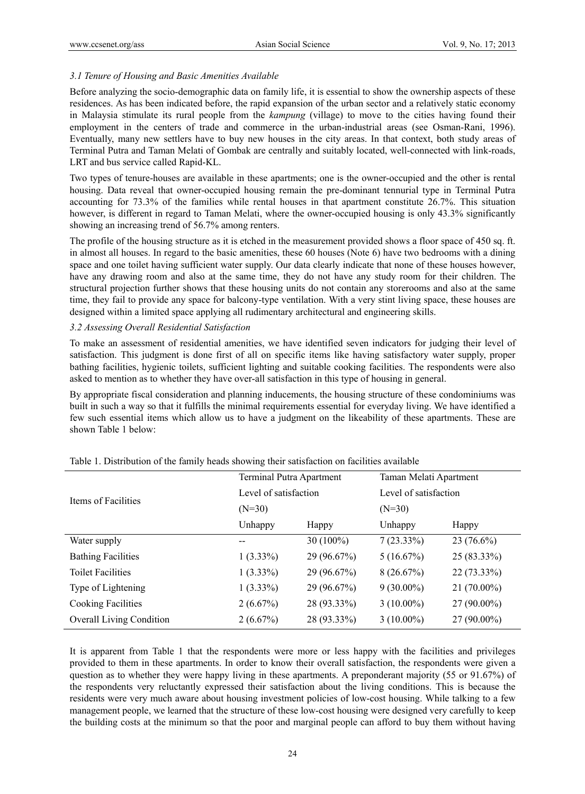# *3.1 Tenure of Housing and Basic Amenities Available*

Before analyzing the socio-demographic data on family life, it is essential to show the ownership aspects of these residences. As has been indicated before, the rapid expansion of the urban sector and a relatively static economy in Malaysia stimulate its rural people from the *kampung* (village) to move to the cities having found their employment in the centers of trade and commerce in the urban-industrial areas (see Osman-Rani, 1996). Eventually, many new settlers have to buy new houses in the city areas. In that context, both study areas of Terminal Putra and Taman Melati of Gombak are centrally and suitably located, well-connected with link-roads, LRT and bus service called Rapid-KL.

Two types of tenure-houses are available in these apartments; one is the owner-occupied and the other is rental housing. Data reveal that owner-occupied housing remain the pre-dominant tennurial type in Terminal Putra accounting for 73.3% of the families while rental houses in that apartment constitute 26.7%. This situation however, is different in regard to Taman Melati, where the owner-occupied housing is only 43.3% significantly showing an increasing trend of 56.7% among renters.

The profile of the housing structure as it is etched in the measurement provided shows a floor space of 450 sq. ft. in almost all houses. In regard to the basic amenities, these 60 houses (Note 6) have two bedrooms with a dining space and one toilet having sufficient water supply. Our data clearly indicate that none of these houses however, have any drawing room and also at the same time, they do not have any study room for their children. The structural projection further shows that these housing units do not contain any storerooms and also at the same time, they fail to provide any space for balcony-type ventilation. With a very stint living space, these houses are designed within a limited space applying all rudimentary architectural and engineering skills.

# *3.2 Assessing Overall Residential Satisfaction*

To make an assessment of residential amenities, we have identified seven indicators for judging their level of satisfaction. This judgment is done first of all on specific items like having satisfactory water supply, proper bathing facilities, hygienic toilets, sufficient lighting and suitable cooking facilities. The respondents were also asked to mention as to whether they have over-all satisfaction in this type of housing in general.

By appropriate fiscal consideration and planning inducements, the housing structure of these condominiums was built in such a way so that it fulfills the minimal requirements essential for everyday living. We have identified a few such essential items which allow us to have a judgment on the likeability of these apartments. These are shown Table 1 below:

|                                 | Terminal Putra Apartment |             | Taman Melati Apartment |              |
|---------------------------------|--------------------------|-------------|------------------------|--------------|
| Items of Facilities             | Level of satisfaction    |             | Level of satisfaction  |              |
|                                 | $(N=30)$                 |             | $(N=30)$               |              |
|                                 | Unhappy                  | Happy       | Unhappy                | Happy        |
| Water supply                    |                          | $30(100\%)$ | $7(23.33\%)$           | $23(76.6\%)$ |
| <b>Bathing Facilities</b>       | $1(3.33\%)$              | 29 (96.67%) | 5(16.67%)              | 25 (83.33%)  |
| <b>Toilet Facilities</b>        | $1(3.33\%)$              | 29 (96.67%) | 8(26.67%)              | 22 (73.33%)  |
| Type of Lightening              | $1(3.33\%)$              | 29 (96.67%) | $9(30.00\%)$           | 21 (70.00%)  |
| <b>Cooking Facilities</b>       | $2(6.67\%)$              | 28 (93.33%) | $3(10.00\%)$           | 27 (90.00%)  |
| <b>Overall Living Condition</b> | $2(6.67\%)$              | 28 (93.33%) | $3(10.00\%)$           | 27 (90.00%)  |

|  | Table 1. Distribution of the family heads showing their satisfaction on facilities available |  |  |
|--|----------------------------------------------------------------------------------------------|--|--|
|  |                                                                                              |  |  |

It is apparent from Table 1 that the respondents were more or less happy with the facilities and privileges provided to them in these apartments. In order to know their overall satisfaction, the respondents were given a question as to whether they were happy living in these apartments. A preponderant majority (55 or 91.67%) of the respondents very reluctantly expressed their satisfaction about the living conditions. This is because the residents were very much aware about housing investment policies of low-cost housing. While talking to a few management people, we learned that the structure of these low-cost housing were designed very carefully to keep the building costs at the minimum so that the poor and marginal people can afford to buy them without having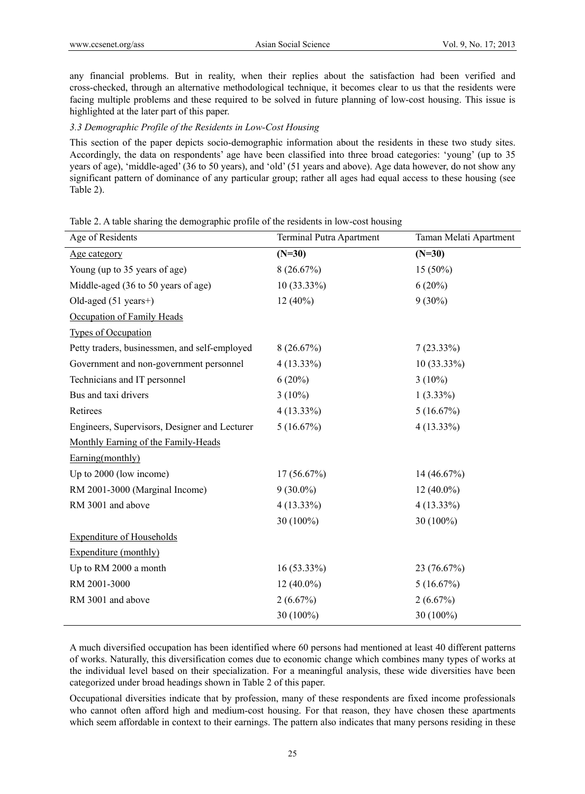any financial problems. But in reality, when their replies about the satisfaction had been verified and cross-checked, through an alternative methodological technique, it becomes clear to us that the residents were facing multiple problems and these required to be solved in future planning of low-cost housing. This issue is highlighted at the later part of this paper.

#### *3.3 Demographic Profile of the Residents in Low-Cost Housing*

This section of the paper depicts socio-demographic information about the residents in these two study sites. Accordingly, the data on respondents' age have been classified into three broad categories: 'young' (up to 35 years of age), 'middle-aged' (36 to 50 years), and 'old' (51 years and above). Age data however, do not show any significant pattern of dominance of any particular group; rather all ages had equal access to these housing (see Table 2).

# Table 2. A table sharing the demographic profile of the residents in low-cost housing

| Age of Residents                              | Terminal Putra Apartment | Taman Melati Apartment |
|-----------------------------------------------|--------------------------|------------------------|
| Age category                                  | $(N=30)$                 | $(N=30)$               |
| Young (up to 35 years of age)                 | 8(26.67%)                | $15(50\%)$             |
| Middle-aged (36 to 50 years of age)           | 10 (33.33%)              | 6(20%)                 |
| Old-aged $(51 \text{ years+})$                | $12(40\%)$               | $9(30\%)$              |
| Occupation of Family Heads                    |                          |                        |
| <b>Types of Occupation</b>                    |                          |                        |
| Petty traders, businessmen, and self-employed | 8(26.67%)                | $7(23.33\%)$           |
| Government and non-government personnel       | 4 (13.33%)               | $10(33.33\%)$          |
| Technicians and IT personnel                  | $6(20\%)$                | $3(10\%)$              |
| Bus and taxi drivers                          | $3(10\%)$                | $1(3.33\%)$            |
| Retirees                                      | $4(13.33\%)$             | 5(16.67%)              |
| Engineers, Supervisors, Designer and Lecturer | 5(16.67%)                | $4(13.33\%)$           |
| Monthly Earning of the Family-Heads           |                          |                        |
| Earning(monthly)                              |                          |                        |
| Up to 2000 (low income)                       | 17(56.67%)               | 14(46.67%)             |
| RM 2001-3000 (Marginal Income)                | $9(30.0\%)$              | $12(40.0\%)$           |
| RM 3001 and above                             | $4(13.33\%)$             | $4(13.33\%)$           |
|                                               | 30 (100%)                | 30 (100%)              |
| <b>Expenditure of Households</b>              |                          |                        |
| Expenditure (monthly)                         |                          |                        |
| Up to RM 2000 a month                         | 16 (53.33%)              | 23 (76.67%)            |
| RM 2001-3000                                  | $12(40.0\%)$             | 5(16.67%)              |
| RM 3001 and above                             | 2(6.67%)                 | 2(6.67%)               |
|                                               | 30 (100%)                | 30 (100%)              |

A much diversified occupation has been identified where 60 persons had mentioned at least 40 different patterns of works. Naturally, this diversification comes due to economic change which combines many types of works at the individual level based on their specialization. For a meaningful analysis, these wide diversities have been categorized under broad headings shown in Table 2 of this paper.

Occupational diversities indicate that by profession, many of these respondents are fixed income professionals who cannot often afford high and medium-cost housing. For that reason, they have chosen these apartments which seem affordable in context to their earnings. The pattern also indicates that many persons residing in these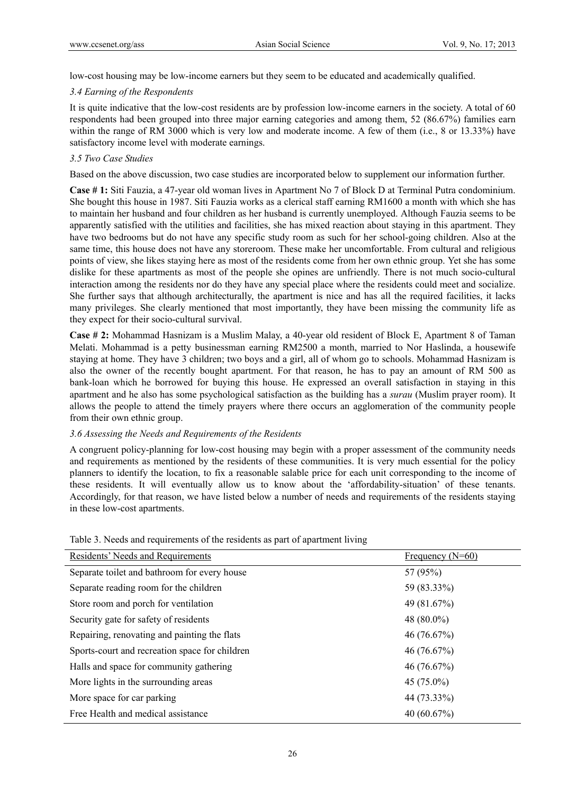low-cost housing may be low-income earners but they seem to be educated and academically qualified.

# *3.4 Earning of the Respondents*

It is quite indicative that the low-cost residents are by profession low-income earners in the society. A total of 60 respondents had been grouped into three major earning categories and among them, 52 (86.67%) families earn within the range of RM 3000 which is very low and moderate income. A few of them (i.e., 8 or 13.33%) have satisfactory income level with moderate earnings.

# *3.5 Two Case Studies*

Based on the above discussion, two case studies are incorporated below to supplement our information further.

**Case # 1:** Siti Fauzia, a 47-year old woman lives in Apartment No 7 of Block D at Terminal Putra condominium. She bought this house in 1987. Siti Fauzia works as a clerical staff earning RM1600 a month with which she has to maintain her husband and four children as her husband is currently unemployed. Although Fauzia seems to be apparently satisfied with the utilities and facilities, she has mixed reaction about staying in this apartment. They have two bedrooms but do not have any specific study room as such for her school-going children. Also at the same time, this house does not have any storeroom. These make her uncomfortable. From cultural and religious points of view, she likes staying here as most of the residents come from her own ethnic group. Yet she has some dislike for these apartments as most of the people she opines are unfriendly. There is not much socio-cultural interaction among the residents nor do they have any special place where the residents could meet and socialize. She further says that although architecturally, the apartment is nice and has all the required facilities, it lacks many privileges. She clearly mentioned that most importantly, they have been missing the community life as they expect for their socio-cultural survival.

**Case # 2:** Mohammad Hasnizam is a Muslim Malay, a 40-year old resident of Block E, Apartment 8 of Taman Melati. Mohammad is a petty businessman earning RM2500 a month, married to Nor Haslinda, a housewife staying at home. They have 3 children; two boys and a girl, all of whom go to schools. Mohammad Hasnizam is also the owner of the recently bought apartment. For that reason, he has to pay an amount of RM 500 as bank-loan which he borrowed for buying this house. He expressed an overall satisfaction in staying in this apartment and he also has some psychological satisfaction as the building has a *surau* (Muslim prayer room). It allows the people to attend the timely prayers where there occurs an agglomeration of the community people from their own ethnic group.

# *3.6 Assessing the Needs and Requirements of the Residents*

A congruent policy-planning for low-cost housing may begin with a proper assessment of the community needs and requirements as mentioned by the residents of these communities. It is very much essential for the policy planners to identify the location, to fix a reasonable salable price for each unit corresponding to the income of these residents. It will eventually allow us to know about the 'affordability-situation' of these tenants. Accordingly, for that reason, we have listed below a number of needs and requirements of the residents staying in these low-cost apartments.

| Residents' Needs and Requirements              | Frequency $(N=60)$ |
|------------------------------------------------|--------------------|
| Separate toilet and bathroom for every house   | 57 (95%)           |
| Separate reading room for the children         | 59 (83.33%)        |
| Store room and porch for ventilation           | 49 (81.67%)        |
| Security gate for safety of residents          | 48 $(80.0\%)$      |
| Repairing, renovating and painting the flats   | 46(76.67%)         |
| Sports-court and recreation space for children | 46 (76.67%)        |
| Halls and space for community gathering        | 46(76.67%)         |
| More lights in the surrounding areas           | 45 (75.0%)         |
| More space for car parking                     | 44 (73.33%)        |
| Free Health and medical assistance             | 40 $(60.67\%)$     |

Table 3. Needs and requirements of the residents as part of apartment living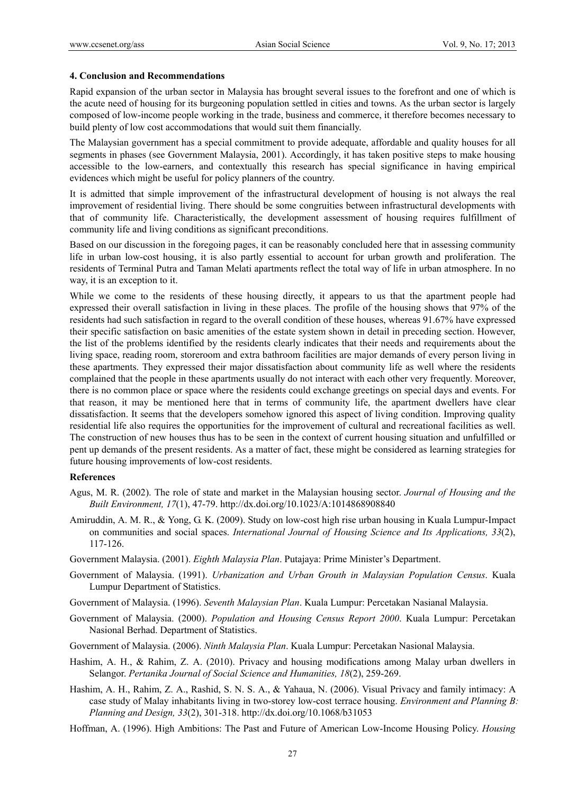#### **4. Conclusion and Recommendations**

Rapid expansion of the urban sector in Malaysia has brought several issues to the forefront and one of which is the acute need of housing for its burgeoning population settled in cities and towns. As the urban sector is largely composed of low-income people working in the trade, business and commerce, it therefore becomes necessary to build plenty of low cost accommodations that would suit them financially.

The Malaysian government has a special commitment to provide adequate, affordable and quality houses for all segments in phases (see Government Malaysia, 2001). Accordingly, it has taken positive steps to make housing accessible to the low-earners, and contextually this research has special significance in having empirical evidences which might be useful for policy planners of the country.

It is admitted that simple improvement of the infrastructural development of housing is not always the real improvement of residential living. There should be some congruities between infrastructural developments with that of community life. Characteristically, the development assessment of housing requires fulfillment of community life and living conditions as significant preconditions.

Based on our discussion in the foregoing pages, it can be reasonably concluded here that in assessing community life in urban low-cost housing, it is also partly essential to account for urban growth and proliferation. The residents of Terminal Putra and Taman Melati apartments reflect the total way of life in urban atmosphere. In no way, it is an exception to it.

While we come to the residents of these housing directly, it appears to us that the apartment people had expressed their overall satisfaction in living in these places. The profile of the housing shows that 97% of the residents had such satisfaction in regard to the overall condition of these houses, whereas 91.67% have expressed their specific satisfaction on basic amenities of the estate system shown in detail in preceding section. However, the list of the problems identified by the residents clearly indicates that their needs and requirements about the living space, reading room, storeroom and extra bathroom facilities are major demands of every person living in these apartments. They expressed their major dissatisfaction about community life as well where the residents complained that the people in these apartments usually do not interact with each other very frequently. Moreover, there is no common place or space where the residents could exchange greetings on special days and events. For that reason, it may be mentioned here that in terms of community life, the apartment dwellers have clear dissatisfaction. It seems that the developers somehow ignored this aspect of living condition. Improving quality residential life also requires the opportunities for the improvement of cultural and recreational facilities as well. The construction of new houses thus has to be seen in the context of current housing situation and unfulfilled or pent up demands of the present residents. As a matter of fact, these might be considered as learning strategies for future housing improvements of low-cost residents.

#### **References**

- Agus, M. R. (2002). The role of state and market in the Malaysian housing sector. *Journal of Housing and the Built Environment, 17*(1), 47-79. http://dx.doi.org/10.1023/A:1014868908840
- Amiruddin, A. M. R., & Yong, G. K. (2009). Study on low-cost high rise urban housing in Kuala Lumpur-Impact on communities and social spaces. *International Journal of Housing Science and Its Applications, 33*(2), 117-126.
- Government Malaysia. (2001). *Eighth Malaysia Plan*. Putajaya: Prime Minister's Department.
- Government of Malaysia. (1991). *Urbanization and Urban Grouth in Malaysian Population Census*. Kuala Lumpur Department of Statistics.
- Government of Malaysia. (1996). *Seventh Malaysian Plan*. Kuala Lumpur: Percetakan Nasianal Malaysia.
- Government of Malaysia. (2000). *Population and Housing Census Report 2000*. Kuala Lumpur: Percetakan Nasional Berhad. Department of Statistics.
- Government of Malaysia. (2006). *Ninth Malaysia Plan*. Kuala Lumpur: Percetakan Nasional Malaysia.
- Hashim, A. H., & Rahim, Z. A. (2010). Privacy and housing modifications among Malay urban dwellers in Selangor. *Pertanika Journal of Social Science and Humanities, 18*(2), 259-269.
- Hashim, A. H., Rahim, Z. A., Rashid, S. N. S. A., & Yahaua, N. (2006). Visual Privacy and family intimacy: A case study of Malay inhabitants living in two-storey low-cost terrace housing. *Environment and Planning B: Planning and Design, 33*(2), 301-318. http://dx.doi.org/10.1068/b31053
- Hoffman, A. (1996). High Ambitions: The Past and Future of American Low-Income Housing Policy. *Housing*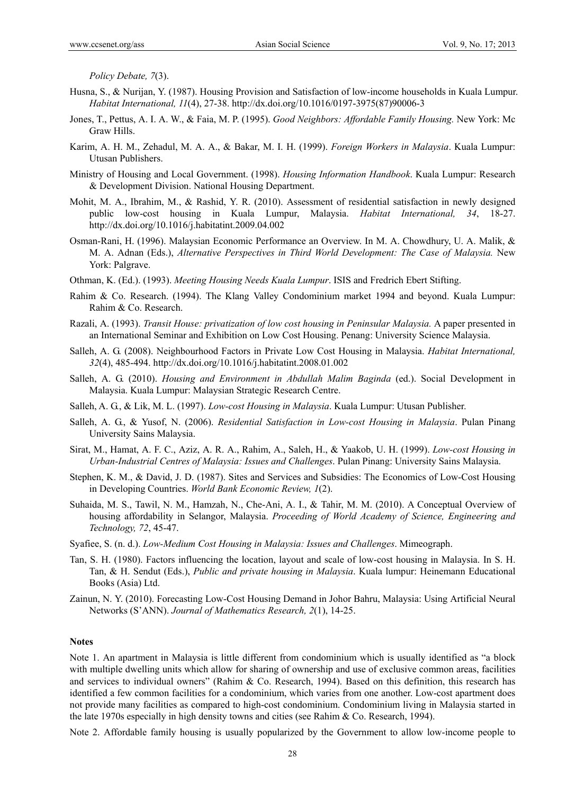*Policy Debate, 7*(3).

- Husna, S., & Nurijan, Y. (1987). Housing Provision and Satisfaction of low-income households in Kuala Lumpur. *Habitat International, 11*(4), 27-38. http://dx.doi.org/10.1016/0197-3975(87)90006-3
- Jones, T., Pettus, A. I. A. W., & Faia, M. P. (1995). *Good Neighbors: Affordable Family Housing.* New York: Mc Graw Hills.
- Karim, A. H. M., Zehadul, M. A. A., & Bakar, M. I. H. (1999). *Foreign Workers in Malaysia*. Kuala Lumpur: Utusan Publishers.
- Ministry of Housing and Local Government. (1998). *Housing Information Handbook*. Kuala Lumpur: Research & Development Division. National Housing Department.
- Mohit, M. A., Ibrahim, M., & Rashid, Y. R. (2010). Assessment of residential satisfaction in newly designed public low-cost housing in Kuala Lumpur, Malaysia. *Habitat International, 34*, 18-27. http://dx.doi.org/10.1016/j.habitatint.2009.04.002
- Osman-Rani, H. (1996). Malaysian Economic Performance an Overview. In M. A. Chowdhury, U. A. Malik, & M. A. Adnan (Eds.), *Alternative Perspectives in Third World Development: The Case of Malaysia.* New York: Palgrave.
- Othman, K. (Ed.). (1993). *Meeting Housing Needs Kuala Lumpur*. ISIS and Fredrich Ebert Stifting.
- Rahim & Co. Research. (1994). The Klang Valley Condominium market 1994 and beyond. Kuala Lumpur: Rahim & Co. Research.
- Razali, A. (1993). *Transit House: privatization of low cost housing in Peninsular Malaysia.* A paper presented in an International Seminar and Exhibition on Low Cost Housing. Penang: University Science Malaysia.
- Salleh, A. G. (2008). Neighbourhood Factors in Private Low Cost Housing in Malaysia. *Habitat International, 32*(4), 485-494. http://dx.doi.org/10.1016/j.habitatint.2008.01.002
- Salleh, A. G. (2010). *Housing and Environment in Abdullah Malim Baginda* (ed.). Social Development in Malaysia. Kuala Lumpur: Malaysian Strategic Research Centre.
- Salleh, A. G., & Lik, M. L. (1997). *Low-cost Housing in Malaysia*. Kuala Lumpur: Utusan Publisher.
- Salleh, A. G., & Yusof, N. (2006). *Residential Satisfaction in Low-cost Housing in Malaysia*. Pulan Pinang University Sains Malaysia.
- Sirat, M., Hamat, A. F. C., Aziz, A. R. A., Rahim, A., Saleh, H., & Yaakob, U. H. (1999). *Low-cost Housing in Urban-Industrial Centres of Malaysia: Issues and Challenges*. Pulan Pinang: University Sains Malaysia.
- Stephen, K. M., & David, J. D. (1987). Sites and Services and Subsidies: The Economics of Low-Cost Housing in Developing Countries. *World Bank Economic Review, 1*(2).
- Suhaida, M. S., Tawil, N. M., Hamzah, N., Che-Ani, A. I., & Tahir, M. M. (2010). A Conceptual Overview of housing affordability in Selangor, Malaysia. *Proceeding of World Academy of Science, Engineering and Technology, 72*, 45-47.
- Syafiee, S. (n. d.). *Low-Medium Cost Housing in Malaysia: Issues and Challenges*. Mimeograph.
- Tan, S. H. (1980). Factors influencing the location, layout and scale of low-cost housing in Malaysia. In S. H. Tan, & H. Sendut (Eds.), *Public and private housing in Malaysia*. Kuala lumpur: Heinemann Educational Books (Asia) Ltd.
- Zainun, N. Y. (2010). Forecasting Low-Cost Housing Demand in Johor Bahru, Malaysia: Using Artificial Neural Networks (S'ANN). *Journal of Mathematics Research, 2*(1), 14-25.

### **Notes**

Note 1. An apartment in Malaysia is little different from condominium which is usually identified as "a block with multiple dwelling units which allow for sharing of ownership and use of exclusive common areas, facilities and services to individual owners" (Rahim & Co. Research, 1994). Based on this definition, this research has identified a few common facilities for a condominium, which varies from one another. Low-cost apartment does not provide many facilities as compared to high-cost condominium. Condominium living in Malaysia started in the late 1970s especially in high density towns and cities (see Rahim & Co. Research, 1994).

Note 2. Affordable family housing is usually popularized by the Government to allow low-income people to